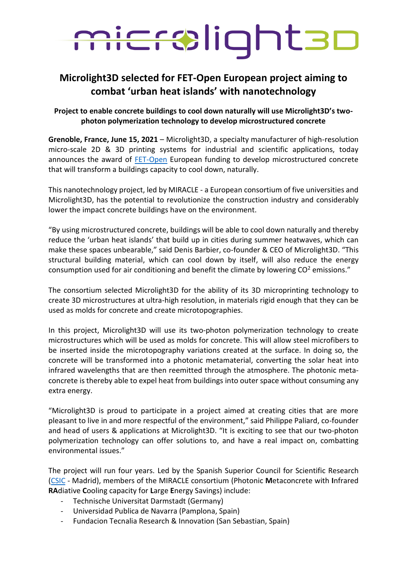## microlight3D

## **Microlight3D selected for FET-Open European project aiming to combat 'urban heat islands' with nanotechnology**

## **Project to enable concrete buildings to cool down naturally will use Microlight3D's twophoton polymerization technology to develop microstructured concrete**

**Grenoble, France, June 15, 2021** – Microlight3D, a specialty manufacturer of high-resolution micro-scale 2D & 3D printing systems for industrial and scientific applications, today announces the award of [FET-Open](https://ec.europa.eu/programmes/horizon2020/en/h2020-section/fet-open) European funding to develop microstructured concrete that will transform a buildings capacity to cool down, naturally.

This nanotechnology project, led by MIRACLE - a European consortium of five universities and Microlight3D, has the potential to revolutionize the construction industry and considerably lower the impact concrete buildings have on the environment.

"By using microstructured concrete, buildings will be able to cool down naturally and thereby reduce the 'urban heat islands' that build up in cities during summer heatwaves, which can make these spaces unbearable," said Denis Barbier, co-founder & CEO of Microlight3D. "This structural building material, which can cool down by itself, will also reduce the energy consumption used for air conditioning and benefit the climate by lowering  $CO<sup>2</sup>$  emissions."

The consortium selected Microlight3D for the ability of its 3D microprinting technology to create 3D microstructures at ultra-high resolution, in materials rigid enough that they can be used as molds for concrete and create microtopographies.

In this project, Microlight3D will use its two-photon polymerization technology to create microstructures which will be used as molds for concrete. This will allow steel microfibers to be inserted inside the microtopography variations created at the surface. In doing so, the concrete will be transformed into a photonic metamaterial, converting the solar heat into infrared wavelengths that are then reemitted through the atmosphere. The photonic metaconcrete is thereby able to expel heat from buildings into outer space without consuming any extra energy.

"Microlight3D is proud to participate in a project aimed at creating cities that are more pleasant to live in and more respectful of the environment," said Philippe Paliard, co-founder and head of users & applications at Microlight3D. "It is exciting to see that our two-photon polymerization technology can offer solutions to, and have a real impact on, combatting environmental issues."

The project will run four years. Led by the Spanish Superior Council for Scientific Research [\(CSIC](https://www.csic.es/en/csic) - Madrid), members of the MIRACLE consortium (Photonic **M**etaconcrete with **I**nfrared **RA**diative **C**ooling capacity for **L**arge **E**nergy Savings) include:

- Technische Universitat Darmstadt (Germany)
- Universidad Publica de Navarra (Pamplona, Spain)
- Fundacion Tecnalia Research & Innovation (San Sebastian, Spain)